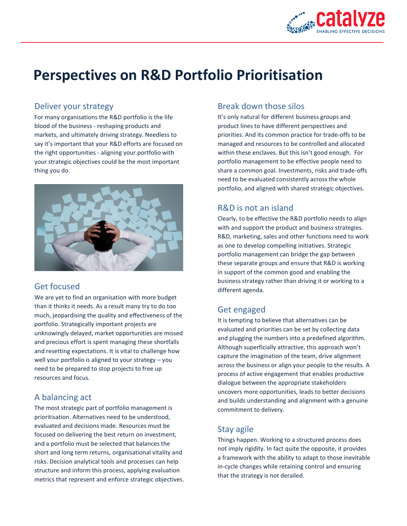

# **Perspectives on R&D Portfolio Prioritisation**

### Deliver your strategy

For many organisations the R&D portfolio is the life blood of the business - reshaping products and markets, and ultimately driving strategy. Needless to say it's important that your R&D efforts are focused on the right opportunities - aligning your portfolio with your strategic objectives could be the most important thing you do.



# Get focused

We are yet to find an organisation with more budget than it thinks it needs. As a result many try to do too much, jeopardising the quality and effectiveness of the portfolio. Strategically important projects are unknowingly delayed, market opportunities are missed and precious effort is spent managing these shortfalls and resetting expectations. It is vital to challenge how well your portfolio is aligned to your strategy – you need to be prepared to stop projects to free up resources and focus.

# A balancing act

The most strategic part of portfolio management is prioritisation. Alternatives need to be understood, evaluated and decisions made. Resources must be focused on delivering the best return on investment, and a portfolio must be selected that balances the short and long term returns, organisational vitality and risks. Decision analytical tools and processes can help structure and inform this process, applying evaluation metrics that represent and enforce strategic objectives.

## Break down those silos

It's only natural for different business groups and product lines to have different perspectives and priorities. And its common practice for trade-offs to be managed and resources to be controlled and allocated within these enclaves. But this isn't good enough. For portfolio management to be effective people need to share a common goal. Investments, risks and trade-offs need to be evaluated consistently across the whole portfolio, and aligned with shared strategic objectives.

# R&D is not an island

Clearly, to be effective the R&D portfolio needs to align with and support the product and business strategies. R&D, marketing, sales and other functions need to work as one to develop compelling initiatives. Strategic portfolio management can bridge the gap between these separate groups and ensure that R&D is working in support of the common good and enabling the business strategy rather than driving it or working to a different agenda.

# Get engaged

It is tempting to believe that alternatives can be evaluated and priorities can be set by collecting data and plugging the numbers into a predefined algorithm. Although superficially attractive, this approach won't capture the imagination of the team, drive alignment across the business or align your people to the results. A process of active engagement that enables productive dialogue between the appropriate stakeholders uncovers more opportunities, leads to better decisions and builds understanding and alignment with a genuine commitment to delivery.

# Stay agile

Things happen. Working to a structured process does not imply rigidity. In fact quite the opposite, it provides a framework with the ability to adapt to those inevitable in-cycle changes while retaining control and ensuring that the strategy is not derailed.